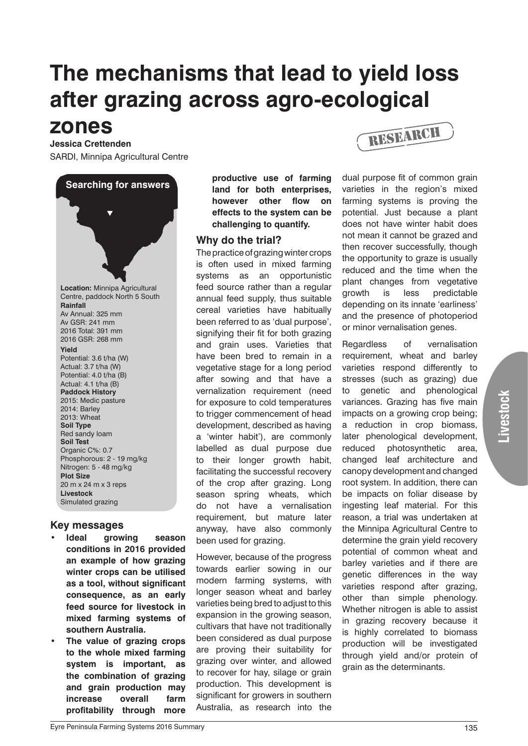# **The mechanisms that lead to yield loss after grazing across agro-ecological**

# **zones**

**Jessica Crettenden** SARDI, Minnipa Agricultural Centre

**Searching for answers**  $\blacktriangledown$ **Location:** Minnipa Agricultural Centre, paddock North 5 South **Rainfall** Av Annual: 325 mm Av GSR: 241 mm 2016 Total: 391 mm 2016 GSR: 268 mm **Yield** Potential: 3.6 t/ha (W) Actual: 3.7 t/ha (W) Potential: 4.0 t/ha (B) Actual: 4.1 t/ha (B) **Paddock History** 2015: Medic pasture 2014: Barley 2013: Wheat **Soil Type** Red sandy loam **Soil Test** Organic C%: 0.7 Phosphorous: 2 - 19 mg/kg Nitrogen: 5 - 48 mg/kg **Plot Size** 20 m x 24 m x 3 reps **Livestock** Simulated grazing

## **Key messages**

- **ldeal** growing season **conditions in 2016 provided an example of how grazing winter crops can be utilised as a tool, without significant consequence, as an early feed source for livestock in mixed farming systems of southern Australia.**
- **The value of grazing crops to the whole mixed farming system is important, as the combination of grazing and grain production may increase overall farm profitability through more**

**productive use of farming land for both enterprises, however other flow on effects to the system can be challenging to quantify.**

## **Why do the trial?**

The practice of grazing winter crops is often used in mixed farming systems as an opportunistic feed source rather than a regular annual feed supply, thus suitable cereal varieties have habitually been referred to as 'dual purpose', signifying their fit for both grazing and grain uses. Varieties that have been bred to remain in a vegetative stage for a long period after sowing and that have a vernalization requirement (need for exposure to cold temperatures to trigger commencement of head development, described as having a 'winter habit'), are commonly labelled as dual purpose due to their longer growth habit, facilitating the successful recovery of the crop after grazing. Long season spring wheats, which do not have a vernalisation requirement, but mature later anyway, have also commonly been used for grazing.

However, because of the progress towards earlier sowing in our modern farming systems, with longer season wheat and barley varieties being bred to adjust to this expansion in the growing season, cultivars that have not traditionally been considered as dual purpose are proving their suitability for grazing over winter, and allowed to recover for hay, silage or grain production. This development is significant for growers in southern Australia, as research into the



dual purpose fit of common grain varieties in the region's mixed farming systems is proving the potential. Just because a plant does not have winter habit does not mean it cannot be grazed and then recover successfully, though the opportunity to graze is usually reduced and the time when the plant changes from vegetative growth is less predictable depending on its innate 'earliness' and the presence of photoperiod or minor vernalisation genes.

Regardless of vernalisation requirement, wheat and barley varieties respond differently to stresses (such as grazing) due to genetic and phenological variances. Grazing has five main impacts on a growing crop being; a reduction in crop biomass, later phenological development, reduced photosynthetic area, changed leaf architecture and canopy development and changed root system. In addition, there can be impacts on foliar disease by ingesting leaf material. For this reason, a trial was undertaken at the Minnipa Agricultural Centre to determine the grain yield recovery potential of common wheat and barley varieties and if there are genetic differences in the way varieties respond after grazing, other than simple phenology. Whether nitrogen is able to assist in grazing recovery because it is highly correlated to biomass production will be investigated through yield and/or protein of grain as the determinants.

**Livestock**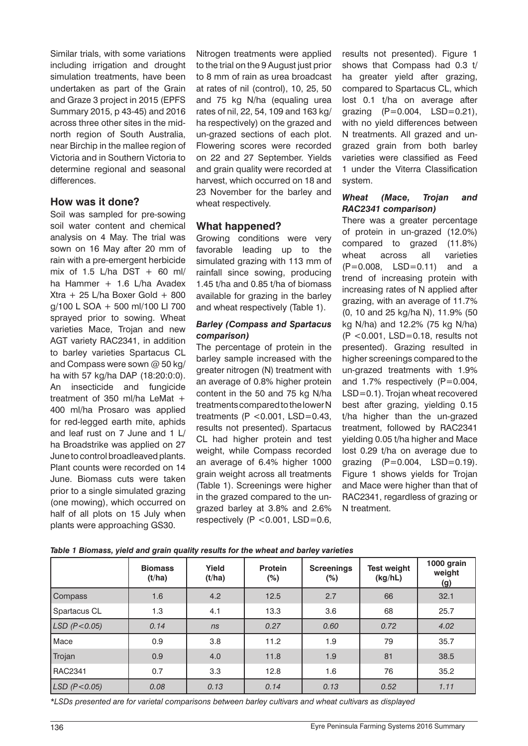Similar trials, with some variations including irrigation and drought simulation treatments, have been undertaken as part of the Grain and Graze 3 project in 2015 (EPFS Summary 2015, p 43-45) and 2016 across three other sites in the midnorth region of South Australia, near Birchip in the mallee region of Victoria and in Southern Victoria to determine regional and seasonal differences.

#### **How was it done?**

Soil was sampled for pre-sowing soil water content and chemical analysis on 4 May. The trial was sown on 16 May after 20 mm of rain with a pre-emergent herbicide mix of 1.5 L/ha DST  $+$  60 ml/ ha Hammer + 1.6 L/ha Avadex Xtra + 25 L/ha Boxer Gold + 800 g/100 L SOA + 500 ml/100 LI 700 sprayed prior to sowing. Wheat varieties Mace, Trojan and new AGT variety RAC2341, in addition to barley varieties Spartacus CL and Compass were sown @ 50 kg/ ha with 57 kg/ha DAP (18:20:0:0). An insecticide and fungicide treatment of 350 ml/ha LeMat + 400 ml/ha Prosaro was applied for red-legged earth mite, aphids and leaf rust on 7 June and 1 L/ ha Broadstrike was applied on 27 June to control broadleaved plants. Plant counts were recorded on 14 June. Biomass cuts were taken prior to a single simulated grazing (one mowing), which occurred on half of all plots on 15 July when plants were approaching GS30.

Nitrogen treatments were applied to the trial on the 9 August just prior to 8 mm of rain as urea broadcast at rates of nil (control), 10, 25, 50 and 75 kg N/ha (equaling urea rates of nil, 22, 54, 109 and 163 kg/ ha respectively) on the grazed and un-grazed sections of each plot. Flowering scores were recorded on 22 and 27 September. Yields and grain quality were recorded at harvest, which occurred on 18 and 23 November for the barley and wheat respectively.

# **What happened?**

Growing conditions were very favorable leading up to the simulated grazing with 113 mm of rainfall since sowing, producing 1.45 t/ha and 0.85 t/ha of biomass available for grazing in the barley and wheat respectively (Table 1).

#### *Barley (Compass and Spartacus comparison)*

The percentage of protein in the barley sample increased with the greater nitrogen (N) treatment with an average of 0.8% higher protein content in the 50 and 75 kg N/ha treatments compared to the lower N treatments (P <  $0.001$ , LSD= $0.43$ , results not presented). Spartacus CL had higher protein and test weight, while Compass recorded an average of 6.4% higher 1000 grain weight across all treatments (Table 1). Screenings were higher in the grazed compared to the ungrazed barley at 3.8% and 2.6% respectively  $(P < 0.001, LSD = 0.6,$ 

results not presented). Figure 1 shows that Compass had 0.3 t/ ha greater yield after grazing, compared to Spartacus CL, which lost 0.1 t/ha on average after grazing (P=0.004, LSD=0.21), with no yield differences between N treatments. All grazed and ungrazed grain from both barley varieties were classified as Feed 1 under the Viterra Classification system.

#### *Wheat (Mace, Trojan and RAC2341 comparison)*

There was a greater percentage of protein in un-grazed (12.0%) compared to grazed (11.8%) wheat across all varieties (P=0.008, LSD=0.11) and a trend of increasing protein with increasing rates of N applied after grazing, with an average of 11.7% (0, 10 and 25 kg/ha N), 11.9% (50 kg N/ha) and 12.2% (75 kg N/ha) (P <0.001, LSD=0.18, results not presented). Grazing resulted in higher screenings compared to the un-grazed treatments with 1.9% and 1.7% respectively  $(P=0.004,$ LSD=0.1). Trojan wheat recovered best after grazing, yielding 0.15 t/ha higher than the un-grazed treatment, followed by RAC2341 yielding 0.05 t/ha higher and Mace lost 0.29 t/ha on average due to grazing (P=0.004, LSD=0.19). Figure 1 shows yields for Trojan and Mace were higher than that of RAC2341, regardless of grazing or N treatment.

|                      | <b>Biomass</b><br>(t/ha) | Yield<br>(t/ha) | <b>Protein</b><br>$(\%)$ | <b>Screenings</b><br>(%) | <b>Test weight</b><br>(kg/hL) | 1000 grain<br>weight<br><u>(g)</u> |
|----------------------|--------------------------|-----------------|--------------------------|--------------------------|-------------------------------|------------------------------------|
| Compass              | 1.6                      | 4.2             | 12.5                     | 2.7                      | 66                            | 32.1                               |
| Spartacus CL         | 1.3                      | 4.1             | 13.3                     | 3.6                      | 68                            | 25.7                               |
| $LSD$ ( $P < 0.05$ ) | 0.14                     | ns              | 0.27                     | 0.60                     | 0.72                          | 4.02                               |
| Mace                 | 0.9                      | 3.8             | 11.2                     | 1.9                      | 79                            | 35.7                               |
| Trojan               | 0.9                      | 4.0             | 11.8                     | 1.9                      | 81                            | 38.5                               |
| RAC2341              | 0.7                      | 3.3             | 12.8                     | 1.6                      | 76                            | 35.2                               |
| $LSD$ (P < 0.05)     | 0.08                     | 0.13            | 0.14                     | 0.13                     | 0.52                          | 1.11                               |

*Table 1 Biomass, yield and grain quality results for the wheat and barley varieties*

*\*LSDs presented are for varietal comparisons between barley cultivars and wheat cultivars as displayed*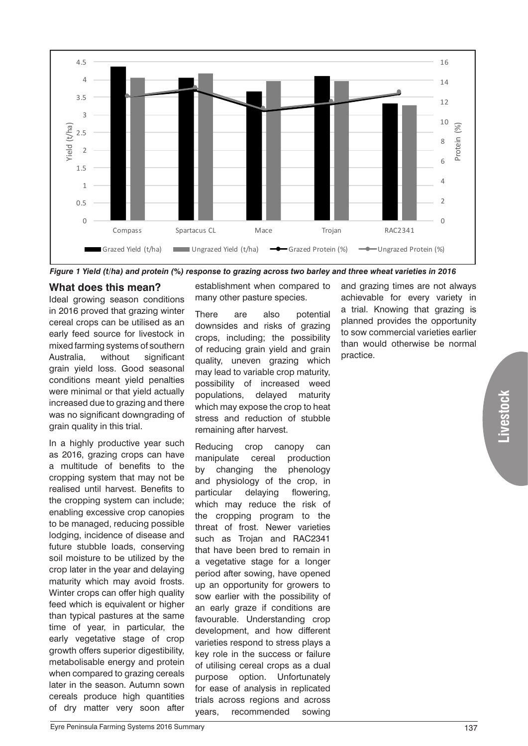

*Figure 1 Yield (t/ha) and protein (%) response to grazing across two barley and three wheat varieties in 2016*

# **What does this mean?**

Ideal growing season conditions in 2016 proved that grazing winter cereal crops can be utilised as an early feed source for livestock in mixed farming systems of southern Australia, without significant grain yield loss. Good seasonal conditions meant yield penalties were minimal or that yield actually increased due to grazing and there was no significant downgrading of grain quality in this trial.

In a highly productive year such as 2016, grazing crops can have a multitude of benefits to the cropping system that may not be realised until harvest. Benefits to the cropping system can include; enabling excessive crop canopies to be managed, reducing possible lodging, incidence of disease and future stubble loads, conserving soil moisture to be utilized by the crop later in the year and delaying maturity which may avoid frosts. Winter crops can offer high quality feed which is equivalent or higher than typical pastures at the same time of year, in particular, the early vegetative stage of crop growth offers superior digestibility, metabolisable energy and protein when compared to grazing cereals later in the season. Autumn sown cereals produce high quantities of dry matter very soon after

establishment when compared to many other pasture species.

There are also potential downsides and risks of grazing crops, including; the possibility of reducing grain yield and grain quality, uneven grazing which may lead to variable crop maturity, possibility of increased weed populations, delayed maturity which may expose the crop to heat stress and reduction of stubble remaining after harvest.

Reducing crop canopy can manipulate cereal production by changing the phenology and physiology of the crop, in particular delaying flowering, which may reduce the risk of the cropping program to the threat of frost. Newer varieties such as Trojan and RAC2341 that have been bred to remain in a vegetative stage for a longer period after sowing, have opened up an opportunity for growers to sow earlier with the possibility of an early graze if conditions are favourable. Understanding crop development, and how different varieties respond to stress plays a key role in the success or failure of utilising cereal crops as a dual purpose option. Unfortunately for ease of analysis in replicated trials across regions and across years, recommended sowing

and grazing times are not always achievable for every variety in a trial. Knowing that grazing is planned provides the opportunity to sow commercial varieties earlier than would otherwise be normal practice.